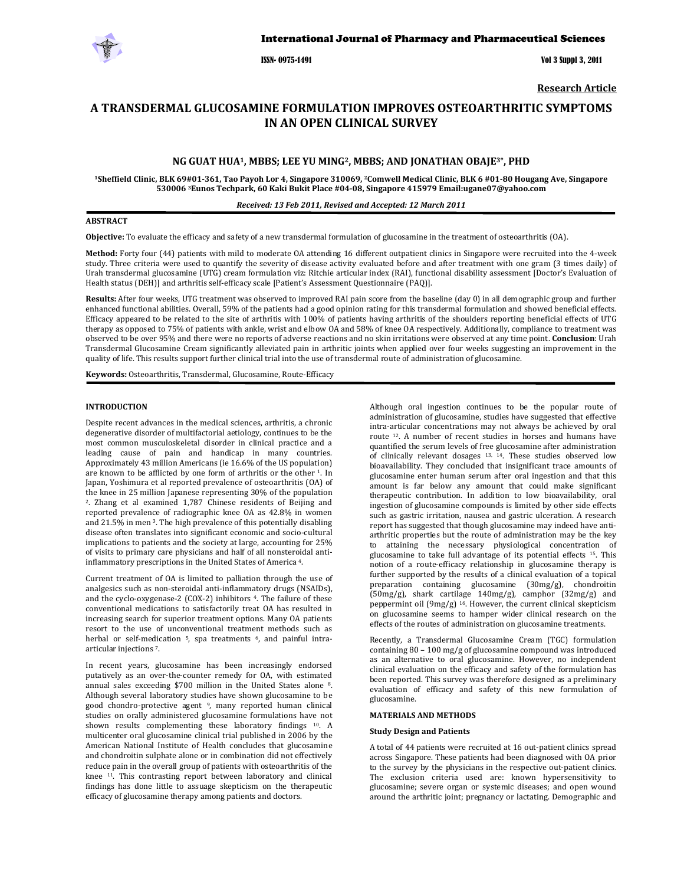

ISSN- 0975-1491 Vol 3 Suppl 3, 2011

**Research Article**

# **A TRANSDERMAL GLUCOSAMINE FORMULATION IMPROVES OSTEOARTHRITIC SYMPTOMS IN AN OPEN CLINICAL SURVEY**

## **NG GUAT HUA1, MBBS; LEE YU MING2, MBBS; AND JONATHAN OBAJE3\*, PHD**

<sup>1</sup>Sheffield Clinic, BLK 69#01-361, Tao Payoh Lor 4, Singapore 310069, <sup>2</sup>Comwell Medical Clinic, BLK 6 #01-80 Hougang Ave, Singapore **530006 3Eunos Techpark, 60 Kaki Bukit Place #0408, Singapore 415979 Email:ugane07@yahoo.com**

#### *Received: 13 Feb 2011, Revised and Accepted: 12 March 2011*

# **ABSTRACT**

**Objective:** To evaluate the efficacy and safety of a new transdermal formulation of glucosamine in the treatment of osteoarthritis (OA).

Method: Forty four (44) patients with mild to moderate OA attending 16 different outpatient clinics in Singapore were recruited into the 4-week study. Three criteria were used to quantify the severity of disease activity evaluated before and after treatment with one gram (3 times daily) of Urah transdermal glucosamine (UTG) cream formulation viz: Ritchie articular index (RAI), functional disability assessment [Doctor's Evaluation of Health status (DEH)] and arthritis self‐efficacy scale [Patient's Assessment Questionnaire (PAQ)].

**Results:** After four weeks, UTG treatment was observed to improved RAI pain score from the baseline (day 0) in all demographic group and further enhanced functional abilities. Overall, 59% of the patients had a good opinion rating for this transdermal formulation and showed beneficial effects. Efficacy appeared to be related to the site of arthritis with 100% of patients having arthritis of the shoulders reporting beneficial effects of UTG therapy as opposed to 75% of patients with ankle, wrist and elbow OA and 58% of knee OA respectively. Additionally, compliance to treatment was observed to be over 95% and there were no reports of adverse reactions and no skin irritations were observed at any time point. **Conclusion**: Urah Transdermal Glucosamine Cream significantly alleviated pain in arthritic joints when applied over four weeks suggesting an improvement in the quality of life. This results support further clinical trial into the use of transdermal route of administration of glucosamine.

**Keywords:** Osteoarthritis, Transdermal, Glucosamine, Route‐Efficacy

#### **INTRODUCTION**

Despite recent advances in the medical sciences, arthritis, a chronic degenerative disorder of multifactorial aetiology, continues to be the most common musculoskeletal disorder in clinical practice and a leading cause of pain and handicap in many countries. Approximately 43 million Americans (ie 16.6% of the US population) are known to be afflicted by one form of arthritis or the other <sup>1</sup>. In Japan, Yoshimura et al reported prevalence of osteoarthritis (OA) of the knee in 25 million Japanese representing 30% of the population 2. Zhang et al examined 1,787 Chinese residents of Beijing and reported prevalence of radiographic knee OA as 42.8% in women and 21.5% in men 3. The high prevalence of this potentially disabling disease often translates into significant economic and socio‐cultural implications to patients and the society at large, accounting for 25% of visits to primary care physicians and half of all nonsteroidal anti‐ inflammatory prescriptions in the United States of America 4.

Current treatment of OA is limited to palliation through the use of analgesics such as non‐steroidal anti‐inflammatory drugs (NSAIDs), and the cyclo-oxygenase-2 (COX-2) inhibitors <sup>4</sup>. The failure of these conventional medications to satisfactorily treat OA has resulted in increasing search for superior treatment options. Many OA patients resort to the use of unconventional treatment methods such as herbal or self-medication <sup>5</sup>, spa treatments <sup>6</sup>, and painful intraarticular injections 7.

In recent years, glucosamine has been increasingly endorsed putatively as an over-the-counter remedy for OA, with estimated annual sales exceeding \$700 million in the United States alone 8. Although several laboratory studies have shown glucosamine to be good chondro‐protective agent 9, many reported human clinical studies on orally administered glucosamine formulations have not shown results complementing these laboratory findings <sup>10</sup>. A multicenter oral glucosamine clinical trial published in 2006 by the American National Institute of Health concludes that glucosamine and chondroitin sulphate alone or in combination did not effectively reduce pain in the overall group of patients with osteoarthritis of the knee <sup>11</sup>. This contrasting report between laboratory and clinical findings has done little to assuage skepticism on the therapeutic efficacy of glucosamine therapy among patients and doctors.

Although oral ingestion continues to be the popular route of administration of glucosamine, studies have suggested that effective intra‐articular concentrations may not always be achieved by oral route <sup>12</sup>. A number of recent studies in horses and humans have quantified the serum levels of free glucosamine after administration of clinically relevant dosages <sup>13, 14</sup>. These studies observed low bioavailability. They concluded that insignificant trace amounts of glucosamine enter human serum after oral ingestion and that this amount is far below any amount that could make significant therapeutic contribution. In addition to low bioavailability, oral ingestion of glucosamine compounds is limited by other side effects such as gastric irritation, nausea and gastric ulceration. A research report has suggested that though glucosamine may indeed have antiarthritic properties but the route of administration may be the key to attaining the necessary physiological concentration of glucosamine to take full advantage of its potential effects 15. This notion of a route-efficacy relationship in glucosamine therapy is further supported by the results of a clinical evaluation of a topical preparation containing glucosamine (30mg/g), chondroitin (50mg/g), shark cartilage 140mg/g), camphor (32mg/g) and peppermint oil (9mg/g) 16. However, the current clinical skepticism on glucosamine seems to hamper wider clinical research on the effects of the routes of administration on glucosamine treatments.

Recently, a Transdermal Glucosamine Cream (TGC) formulation containing 80 – 100 mg/g of glucosamine compound was introduced as an alternative to oral glucosamine. However, no independent clinical evaluation on the efficacy and safety of the formulation has been reported. This survey was therefore designed as a preliminary evaluation of efficacy and safety of this new formulation of glucosamine.

#### **MATERIALS AND METHODS**

#### **Study Design and Patients**

A total of 44 patients were recruited at 16 out‐patient clinics spread across Singapore. These patients had been diagnosed with OA prior to the survey by the physicians in the respective out‐patient clinics. The exclusion criteria used are: known hypersensitivity to glucosamine; severe organ or systemic diseases; and open wound around the arthritic joint; pregnancy or lactating. Demographic and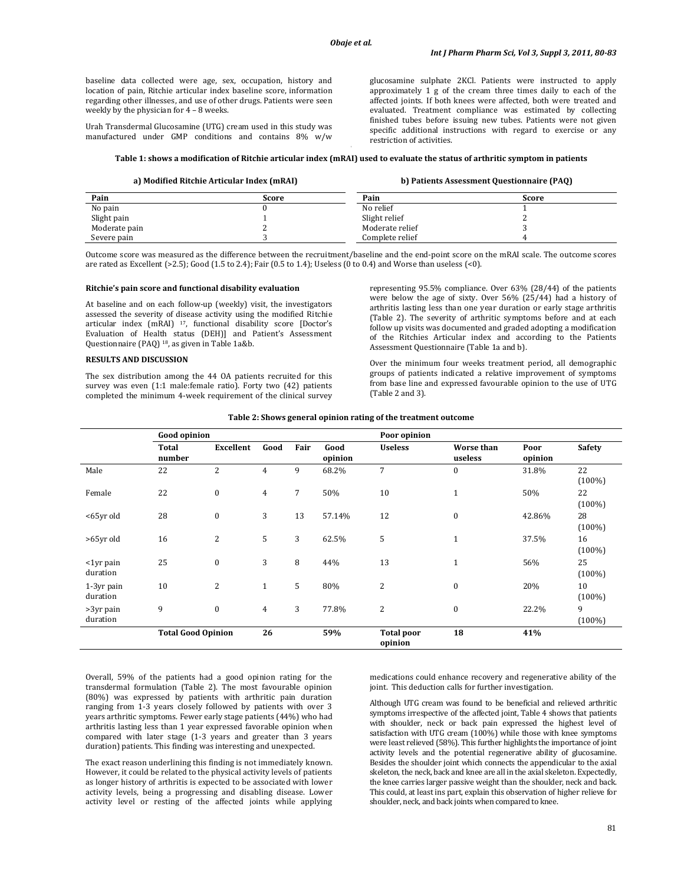baseline data collected were age, sex, occupation, history and location of pain, Ritchie articular index baseline score, information regarding other illnesses, and use of other drugs. Patients were seen weekly by the physician for 4 – 8 weeks.

Urah Transdermal Glucosamine (UTG) cream used in this study was manufactured under GMP conditions and contains 8% w/w

glucosamine sulphate 2KCl. Patients were instructed to apply approximately 1 g of the cream three times daily to each of the affected joints. If both knees were affected, both were treated and evaluated. Treatment compliance was estimated by collecting finished tubes before issuing new tubes. Patients were not given specific additional instructions with regard to exercise or any restriction of activities.

## Table 1: shows a modification of Ritchie articular index (mRAI) used to evaluate the status of arthritic symptom in patients

## **a) Modified Ritchie Articular Index (mRAI)**

# **b) Patients Assessment Questionnaire (PAQ)**

| Pain          | Score | Pain            | Score |
|---------------|-------|-----------------|-------|
| No pain       |       | No relief       |       |
| Slight pain   |       | Slight relief   |       |
| Moderate pain |       | Moderate relief |       |
| Severe pain   |       | Complete relief |       |

Outcome score was measured as the difference between the recruitment/baseline and the end‐point score on the mRAI scale. The outcome scores are rated as Excellent (>2.5); Good (1.5 to 2.4); Fair (0.5 to 1.4); Useless (0 to 0.4) and Worse than useless (<0).

# **Ritchie's pain score and functional disability evaluation**

At baseline and on each follow-up (weekly) visit, the investigators assessed the severity of disease activity using the modified Ritchie articular index (mRAI) 17, functional disability score [Doctor's Evaluation of Health status (DEH)] and Patient's Assessment Questionnaire (PAQ) 18, as given in Table 1a&b.

#### **RESULTS AND DISCUSSION**

The sex distribution among the 44 OA patients recruited for this survey was even (1:1 male:female ratio). Forty two (42) patients completed the minimum 4-week requirement of the clinical survey

representing 95.5% compliance. Over 63% (28/44) of the patients were below the age of sixty. Over 56% (25/44) had a history of arthritis lasting less than one year duration or early stage arthritis (Table 2). The severity of arthritic symptoms before and at each follow up visits was documented and graded adopting a modification of the Ritchies Articular index and according to the Patients Assessment Questionnaire (Table 1a and b).

Over the minimum four weeks treatment period, all demographic groups of patients indicated a relative improvement of symptoms from base line and expressed favourable opinion to the use of UTG (Table 2 and 3).

| Table 2: Shows general opinion rating of the treatment outcome |  |  |  |  |
|----------------------------------------------------------------|--|--|--|--|
|----------------------------------------------------------------|--|--|--|--|

|                          | <b>Good opinion</b>       |                  |                |                |                 | Poor opinion                 |                       |                 |                 |
|--------------------------|---------------------------|------------------|----------------|----------------|-----------------|------------------------------|-----------------------|-----------------|-----------------|
|                          | <b>Total</b><br>number    | <b>Excellent</b> | Good           | Fair           | Good<br>opinion | <b>Useless</b>               | Worse than<br>useless | Poor<br>opinion | <b>Safety</b>   |
| Male                     | 22                        | 2                | $\overline{4}$ | 9              | 68.2%           | $\overline{7}$               | $\mathbf{0}$          | 31.8%           | 22<br>$(100\%)$ |
| Female                   | 22                        | $\boldsymbol{0}$ | 4              | $\overline{7}$ | 50%             | 10                           | $\mathbf{1}$          | 50%             | 22<br>$(100\%)$ |
| <65yr old                | 28                        | $\mathbf{0}$     | 3              | 13             | 57.14%          | 12                           | $\mathbf{0}$          | 42.86%          | 28<br>$(100\%)$ |
| >65yr old                | 16                        | 2                | 5              | 3              | 62.5%           | 5                            | $\mathbf{1}$          | 37.5%           | 16<br>$(100\%)$ |
| $-1$ yr pain<br>duration | 25                        | $\boldsymbol{0}$ | 3              | 8              | 44%             | 13                           | $\mathbf{1}$          | 56%             | 25<br>$(100\%)$ |
| $1-3yr$ pain<br>duration | 10                        | 2                | $\mathbf{1}$   | 5              | 80%             | 2                            | $\bf{0}$              | 20%             | 10<br>$(100\%)$ |
| $>3$ yr pain<br>duration | 9                         | $\bf{0}$         | 4              | 3              | 77.8%           | 2                            | $\mathbf{0}$          | 22.2%           | 9<br>$(100\%)$  |
|                          | <b>Total Good Opinion</b> |                  | 26             |                | 59%             | <b>Total poor</b><br>opinion | 18                    | 41%             |                 |

Overall, 59% of the patients had a good opinion rating for the transdermal formulation (Table 2). The most favourable opinion (80%) was expressed by patients with arthritic pain duration ranging from 1-3 years closely followed by patients with over 3 years arthritic symptoms. Fewer early stage patients (44%) who had arthritis lasting less than 1 year expressed favorable opinion when compared with later stage (1-3 years and greater than 3 years duration) patients. This finding was interesting and unexpected.

The exact reason underlining this finding is not immediately known. However, it could be related to the physical activity levels of patients as longer history of arthritis is expected to be associated with lower activity levels, being a progressing and disabling disease. Lower activity level or resting of the affected joints while applying

medications could enhance recovery and regenerative ability of the joint. This deduction calls for further investigation.

Although UTG cream was found to be beneficial and relieved arthritic symptoms irrespective of the affected joint, Table 4 shows that patients with shoulder, neck or back pain expressed the highest level of satisfaction with UTG cream (100%) while those with knee symptoms were least relieved (58%). This further highlights the importance of joint activity levels and the potential regenerative ability of glucosamine. Besides the shoulder joint which connects the appendicular to the axial skeleton, the neck, back and knee are all in the axial skeleton. Expectedly, the knee carries larger passive weight than the shoulder, neck and back. This could, at least ins part, explain this observation of higher relieve for shoulder, neck, and back joints when compared to knee.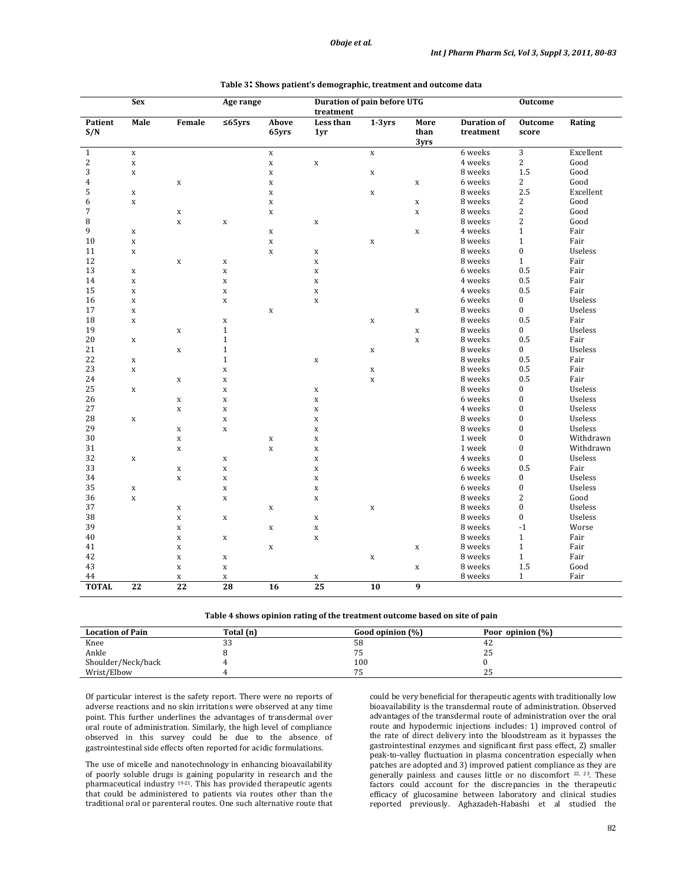| <b>Sex</b>              |              |              | Age range    |                 | Duration of pain before UTG<br>treatment |             |                      |                                 | Outcome          |                |
|-------------------------|--------------|--------------|--------------|-----------------|------------------------------------------|-------------|----------------------|---------------------------------|------------------|----------------|
| Patient<br>S/N          | Male         | Female       | ≤65yrs       | Above<br>65yrs  | Less than<br>1yr                         | $1-3yrs$    | More<br>than<br>3yrs | <b>Duration of</b><br>treatment | Outcome<br>score | Rating         |
| $\mathbf{1}$            | $\mathbf x$  |              |              | $\mathbf x$     |                                          | $\mathbf x$ |                      | 6 weeks                         | 3                | Excellent      |
| $\overline{\mathbf{c}}$ | $\mathbf x$  |              |              | $\mathbf x$     | $\mathbf X$                              |             |                      | 4 weeks                         | $\boldsymbol{2}$ | Good           |
| 3                       | $\mathbf x$  |              |              | $\mathbf x$     |                                          | $\mathbf x$ |                      | 8 weeks                         | 1.5              | Good           |
| $\overline{4}$          |              | X            |              | $\mathbf x$     |                                          |             | $\mathbf x$          | 6 weeks                         | 2                | Good           |
| 5                       | $\mathbf x$  |              |              | $\mathbf x$     |                                          | $\mathbf x$ |                      | 8 weeks                         | 2.5              | Excellent      |
| 6                       | $\mathbf x$  |              |              | $\mathbf x$     |                                          |             | $\mathbf x$          | 8 weeks                         | 2                | Good           |
| $\overline{7}$          |              | $\mathbf x$  |              | $\mathbf x$     |                                          |             | $\mathbf x$          | 8 weeks                         | $\overline{c}$   | Good           |
| 8                       |              | $\mathbf x$  | $\mathbf x$  |                 | $\mathbf x$                              |             |                      | 8 weeks                         | $\overline{2}$   | Good           |
| 9                       | $\mathbf x$  |              |              | $\mathbf x$     |                                          |             | $\mathbf x$          | 4 weeks                         | $\mathbf 1$      | Fair           |
| 10                      | $\mathbf x$  |              |              | $\mathbf x$     |                                          | $\mathbf x$ |                      | 8 weeks                         | $\mathbf{1}$     | Fair           |
| 11                      | $\mathbf{x}$ |              |              | $\mathbf x$     | $\mathbf x$                              |             |                      | 8 weeks                         | $\boldsymbol{0}$ | <b>Useless</b> |
| 12                      |              | $\mathbf x$  | $\mathbf x$  |                 | $\mathbf x$                              |             |                      | 8 weeks                         | $\mathbf{1}$     | Fair           |
| 13                      | $\mathbf x$  |              | $\mathbf x$  |                 | $\mathbf x$                              |             |                      | 6 weeks                         | 0.5              | Fair           |
| 14                      | $\mathbf x$  |              | $\mathbf x$  |                 | $\mathbf x$                              |             |                      | 4 weeks                         | 0.5              | Fair           |
| 15                      | $\mathbf x$  |              | $\mathbf x$  |                 | $\mathbf x$                              |             |                      | 4 weeks                         | 0.5              | Fair           |
| 16                      | $\mathbf x$  |              | $\mathbf x$  |                 | $\mathbf x$                              |             |                      | 6 weeks                         | $\boldsymbol{0}$ | <b>Useless</b> |
| 17                      | $\mathbf x$  |              |              | $\mathbf x$     |                                          |             | $\mathbf x$          | 8 weeks                         | $\mathbf{0}$     | <b>Useless</b> |
| 18                      | $\mathbf{x}$ |              | $\mathbf x$  |                 |                                          | $\mathbf x$ |                      | 8 weeks                         | 0.5              | Fair           |
| 19                      |              | $\mathbf{x}$ | $\mathbf{1}$ |                 |                                          |             | $\mathbf x$          | 8 weeks                         | $\mathbf{0}$     | <b>Useless</b> |
| 20                      | $\mathbf x$  |              | $\mathbf{1}$ |                 |                                          |             | $\mathbf x$          | 8 weeks                         | 0.5              | Fair           |
| 21                      |              | $\mathbf x$  | $\mathbf{1}$ |                 |                                          | $\mathbf x$ |                      | 8 weeks                         | $\boldsymbol{0}$ | Useless        |
| 22                      | $\mathbf x$  |              | $\mathbf{1}$ |                 | $\mathbf x$                              |             |                      | 8 weeks                         | 0.5              | Fair           |
| 23                      | $\mathbf x$  |              | $\mathbf x$  |                 |                                          | $\mathbf x$ |                      | 8 weeks                         | 0.5              | Fair           |
| 24                      |              | $\mathbf x$  | $\mathbf x$  |                 |                                          | $\mathbf x$ |                      | 8 weeks                         | 0.5              | Fair           |
| 25                      | $\mathbf x$  |              | $\mathbf x$  |                 | $\mathbf x$                              |             |                      | 8 weeks                         | $\boldsymbol{0}$ | Useless        |
| 26                      |              | $\mathbf x$  | $\mathbf x$  |                 | $\mathbf x$                              |             |                      | 6 weeks                         | $\boldsymbol{0}$ | Useless        |
| 27                      |              | $\mathbf x$  | $\mathbf x$  |                 | $\mathbf x$                              |             |                      | 4 weeks                         | $\boldsymbol{0}$ | Useless        |
| 28                      | $\mathbf x$  |              | $\mathbf x$  |                 | $\mathbf x$                              |             |                      | 8 weeks                         | $\boldsymbol{0}$ | Useless        |
| 29                      |              | $\mathbf x$  | $\mathbf x$  |                 | $\mathbf x$                              |             |                      | 8 weeks                         | $\boldsymbol{0}$ | Useless        |
| 30                      |              | $\mathbf x$  |              | $\mathbf x$     | $\mathbf x$                              |             |                      | 1 week                          | $\boldsymbol{0}$ | Withdrawn      |
| 31                      |              | $\mathbf x$  |              | $\mathbf x$     | $\mathbf x$                              |             |                      | 1 week                          | $\boldsymbol{0}$ | Withdrawn      |
| 32                      | $\mathbf x$  |              | $\mathbf x$  |                 | $\mathbf x$                              |             |                      | 4 weeks                         | $\bf{0}$         | Useless        |
| 33                      |              | $\mathbf x$  | $\mathbf x$  |                 | $\mathbf x$                              |             |                      | 6 weeks                         | 0.5              | Fair           |
| 34                      |              | $\bar{x}$    | $\mathbf x$  |                 | $\mathbf x$                              |             |                      | 6 weeks                         | $\boldsymbol{0}$ | Useless        |
| 35                      | $\mathbf x$  |              | $\mathbf x$  |                 | $\mathbf x$                              |             |                      | 6 weeks                         | $\boldsymbol{0}$ | <b>Useless</b> |
| 36                      | $\mathbf x$  |              | $\mathbf x$  |                 | $\mathbf x$                              |             |                      | 8 weeks                         | $\overline{c}$   | Good           |
| 37                      |              | $\mathbf x$  |              | $\mathbf x$     |                                          | $\mathbf x$ |                      | 8 weeks                         | $\mathbf{0}$     | <b>Useless</b> |
| 38                      |              | $\mathbf x$  | $\mathbf x$  |                 | $\mathbf x$                              |             |                      | 8 weeks                         | $\boldsymbol{0}$ | Useless        |
| 39                      |              | $\mathbf x$  |              | $\mathbf x$     | $\mathbf x$                              |             |                      | 8 weeks                         | $-1$             | Worse          |
| 40                      |              | $\mathbf x$  | $\mathbf x$  |                 | $\mathbf x$                              |             |                      | 8 weeks                         | $\mathbf 1$      | Fair           |
| 41                      |              | $\mathbf x$  |              | $\mathbf x$     |                                          |             | $\mathbf x$          | 8 weeks                         | $\mathbf 1$      | Fair           |
| 42                      |              | $\mathbf x$  | $\mathbf x$  |                 |                                          | $\mathbf x$ |                      | 8 weeks                         | $\mathbf{1}$     | Fair           |
| 43                      |              | $\mathbf x$  | $\mathbf x$  |                 |                                          |             | $\mathbf x$          | 8 weeks                         | 1.5              | Good           |
| 44                      |              | $\mathbf x$  | $\mathbf x$  |                 | $\mathbf x$                              |             |                      | 8 weeks                         | $\mathbf{1}$     | Fair           |
| <b>TOTAL</b>            | 22           | 22           | 28           | $\overline{16}$ | 25                                       | 10          | $\overline{9}$       |                                 |                  |                |

|  |  |  | Table 3: Shows patient's demographic, treatment and outcome data |  |
|--|--|--|------------------------------------------------------------------|--|
|  |  |  |                                                                  |  |

**Table 4 shows opinion rating of the treatment outcome based on site of pain**

| <b>Location of Pain</b> | Total (n) | Good opinion (%) | Poor opinion (%) |
|-------------------------|-----------|------------------|------------------|
| Knee                    | 33        | 58               | 42               |
| Ankle                   |           | 75               | 25               |
| Shoulder/Neck/back      |           | 100              |                  |
| Wrist/Elbow             |           | 75               | 25               |

Of particular interest is the safety report. There were no reports of adverse reactions and no skin irritations were observed at any time point. This further underlines the advantages of transdermal over oral route of administration. Similarly, the high level of compliance observed in this survey could be due to the absence of gastrointestinal side effects often reported for acidic formulations.

The use of micelle and nanotechnology in enhancing bioavailability of poorly soluble drugs is gaining popularity in research and the pharmaceutical industry <sup>19-21</sup>. This has provided therapeutic agents that could be administered to patients via routes other than the traditional oral or parenteral routes. One such alternative route that could be very beneficial for therapeutic agents with traditionally low bioavailability is the transdermal route of administration. Observed advantages of the transdermal route of administration over the oral route and hypodermic injections includes: 1) improved control of the rate of direct delivery into the bloodstream as it bypasses the gastrointestinal enzymes and significant first pass effect, 2) smaller peak‐to‐valley fluctuation in plasma concentration especially when patches are adopted and 3) improved patient compliance as they are generally painless and causes little or no discomfort <sup>22, 23</sup>. These factors could account for the discrepancies in the therapeutic efficacy of glucosamine between laboratory and clinical studies reported previously. Aghazadeh‐Habashi et al studied the